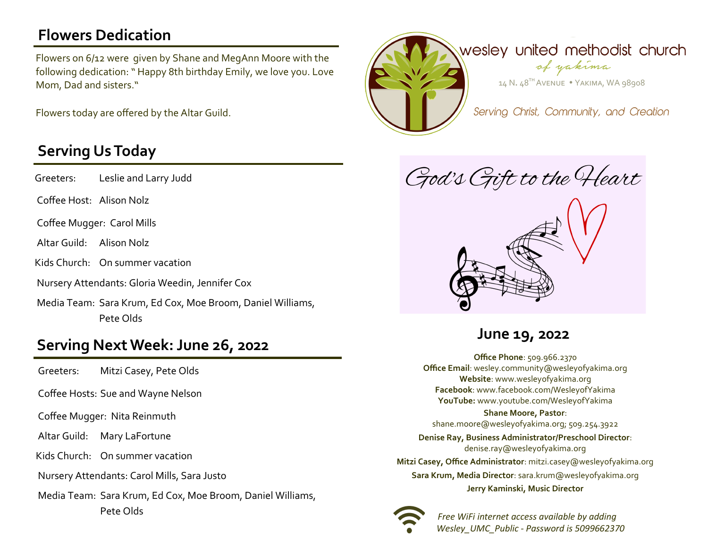## **Flowers Dedication**

Flowers on 6/12 were given by Shane and MegAnn Moore with the following dedication: " Happy 8th birthday Emily, we love you. Love Mom, Dad and sisters."

Flowers today are offered by the Altar Guild.

### **Serving Us Today**

Greeters: Leslie and Larry Judd

Coffee Host: Alison Nolz

Coffee Mugger: Carol Mills

Altar Guild: Alison Nolz

Kids Church: On summer vacation

Nursery Attendants: Gloria Weedin, Jennifer Cox

Media Team: Sara Krum, Ed Cox, Moe Broom, Daniel Williams, Pete Olds

# **Serving Next Week: June 26, 2022 June 19, 2022**

Greeters: Mitzi Casey, Pete Olds

Coffee Hosts: Sue and Wayne Nelson

Coffee Mugger: Nita Reinmuth

Altar Guild: Mary LaFortune

Kids Church: On summer vacation

Nursery Attendants: Carol Mills, Sara Justo

Media Team: Sara Krum, Ed Cox, Moe Broom, Daniel Williams, Pete Olds



God's Gift to the Heart



**Office Phone**: 509.966.2370 **Office Email**: wesley.community@wesleyofyakima.org **Website**: www.wesleyofyakima.org **Facebook**: www.facebook.com/WesleyofYakima **YouTube:** www.youtube.com/WesleyofYakima

### **Shane Moore, Pastor**:

shane.moore@wesleyofyakima.org; 509.254.3922

**Denise Ray, Business Administrator/Preschool Director**: denise.ray@wesleyofyakima.org **Mitzi Casey, Office Administrator**: mitzi.casey@wesleyofyakima.org **Sara Krum, Media Director**: sara.krum@wesleyofyakima.org **Jerry Kaminski, Music Director**



 *Free WiFi internet access available by adding Wesley\_UMC\_Public - Password is 5099662370*